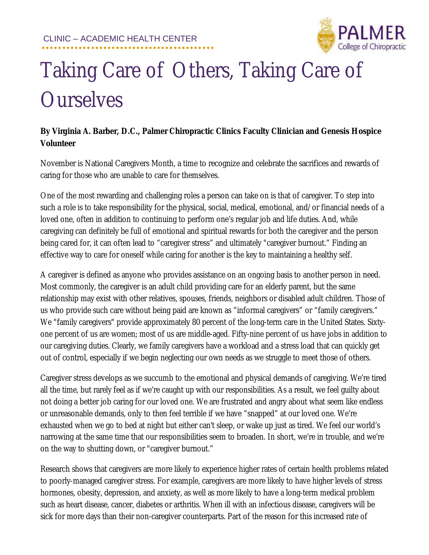

## Taking Care of Others, Taking Care of **Ourselves**

## **By Virginia A. Barber, D.C., Palmer Chiropractic Clinics Faculty Clinician and Genesis Hospice Volunteer**

November is National Caregivers Month, a time to recognize and celebrate the sacrifices and rewards of caring for those who are unable to care for themselves.

One of the most rewarding and challenging roles a person can take on is that of caregiver. To step into such a role is to take responsibility for the physical, social, medical, emotional, and/or financial needs of a loved one, often in addition to continuing to perform one's regular job and life duties. And, while caregiving can definitely be full of emotional and spiritual rewards for both the caregiver and the person being cared for, it can often lead to "caregiver stress" and ultimately "caregiver burnout." Finding an effective way to care for oneself while caring for another is the key to maintaining a healthy self.

A caregiver is defined as anyone who provides assistance on an ongoing basis to another person in need. Most commonly, the caregiver is an adult child providing care for an elderly parent, but the same relationship may exist with other relatives, spouses, friends, neighbors or disabled adult children. Those of us who provide such care without being paid are known as "informal caregivers" or "family caregivers." We "family caregivers" provide approximately 80 percent of the long-term care in the United States. Sixtyone percent of us are women; most of us are middle-aged. Fifty-nine percent of us have jobs in addition to our caregiving duties. Clearly, we family caregivers have a workload and a stress load that can quickly get out of control, especially if we begin neglecting our own needs as we struggle to meet those of others.

Caregiver stress develops as we succumb to the emotional and physical demands of caregiving. We're tired all the time, but rarely feel as if we're caught up with our responsibilities. As a result, we feel guilty about not doing a better job caring for our loved one. We are frustrated and angry about what seem like endless or unreasonable demands, only to then feel terrible if we have "snapped" at our loved one. We're exhausted when we go to bed at night but either can't sleep, or wake up just as tired. We feel our world's narrowing at the same time that our responsibilities seem to broaden. In short, we're in trouble, and we're on the way to shutting down, or "caregiver burnout."

Research shows that caregivers are more likely to experience higher rates of certain health problems related to poorly-managed caregiver stress. For example, caregivers are more likely to have higher levels of stress hormones, obesity, depression, and anxiety, as well as more likely to have a long-term medical problem such as heart disease, cancer, diabetes or arthritis. When ill with an infectious disease, caregivers will be sick for more days than their non-caregiver counterparts. Part of the reason for this increased rate of